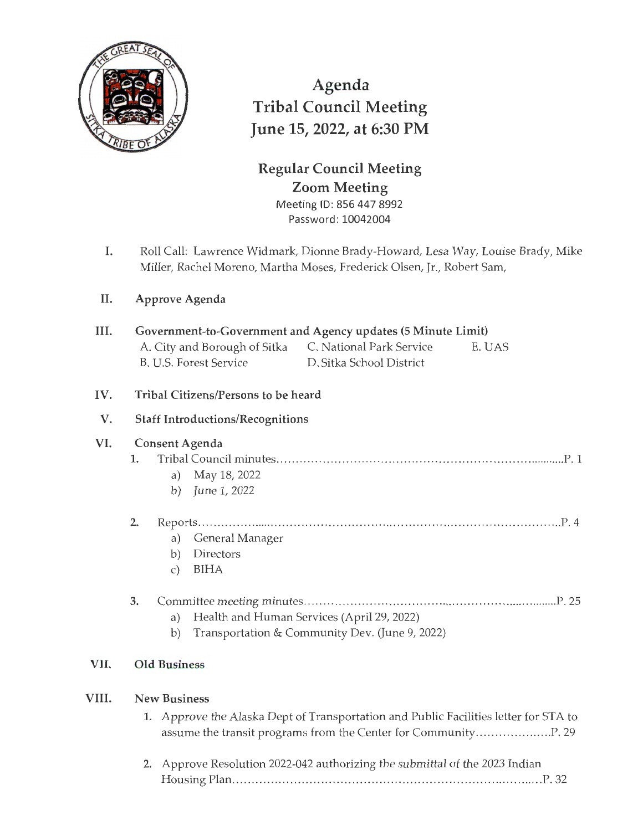

Agenda Tribal Council Meeting June 15, 2022, at 6:30 PM

## **Regular Council Meeting Zoom Meeting**  Meeting ID: 856 447 8992

Password: 10042004

I. Roll Call: Lawrence Widmark, Dionne Brady-Howard, Lesa Way, Louise Brady, Mike Miller, Rachel Moreno, Martha Moses, Frederick Olsen, Jr., Robert Sam,

## II. **Approve Agenda**

| III.                  | Government-to-Government and Agency updates (5 Minute Limit) |                                                                                      |  |  |  |
|-----------------------|--------------------------------------------------------------|--------------------------------------------------------------------------------------|--|--|--|
|                       |                                                              | A. City and Borough of Sitka C. National Park Service<br>E. UAS                      |  |  |  |
|                       |                                                              | D. Sitka School District<br>B. U.S. Forest Service                                   |  |  |  |
| IV.                   |                                                              | Tribal Citizens/Persons to be heard                                                  |  |  |  |
| V.                    | <b>Staff Introductions/Recognitions</b>                      |                                                                                      |  |  |  |
| VI.<br>Consent Agenda |                                                              |                                                                                      |  |  |  |
|                       | 1.                                                           |                                                                                      |  |  |  |
|                       |                                                              | May 18, 2022<br>a)                                                                   |  |  |  |
|                       |                                                              | June 1, 2022<br>b)                                                                   |  |  |  |
|                       | 2.                                                           |                                                                                      |  |  |  |
|                       |                                                              | General Manager<br>a)                                                                |  |  |  |
|                       |                                                              | Directors<br>b)                                                                      |  |  |  |
|                       |                                                              | <b>BIHA</b><br>$\mathcal{C}$ )                                                       |  |  |  |
|                       | 3.                                                           |                                                                                      |  |  |  |
|                       |                                                              | Health and Human Services (April 29, 2022)<br>a)                                     |  |  |  |
|                       |                                                              | Transportation & Community Dev. (June 9, 2022)<br>b)                                 |  |  |  |
| VII.                  |                                                              | <b>Old Business</b>                                                                  |  |  |  |
|                       |                                                              |                                                                                      |  |  |  |
| VIII.                 | <b>New Business</b>                                          |                                                                                      |  |  |  |
|                       |                                                              | 1. Approve the Alaska Dept of Transportation and Public Facilities letter for STA to |  |  |  |

| 2. Approve Resolution 2022-042 authorizing the submittal of the 2023 Indian |
|-----------------------------------------------------------------------------|
|                                                                             |

assume the transit programs from the Center for Community ....... ............. P. 29